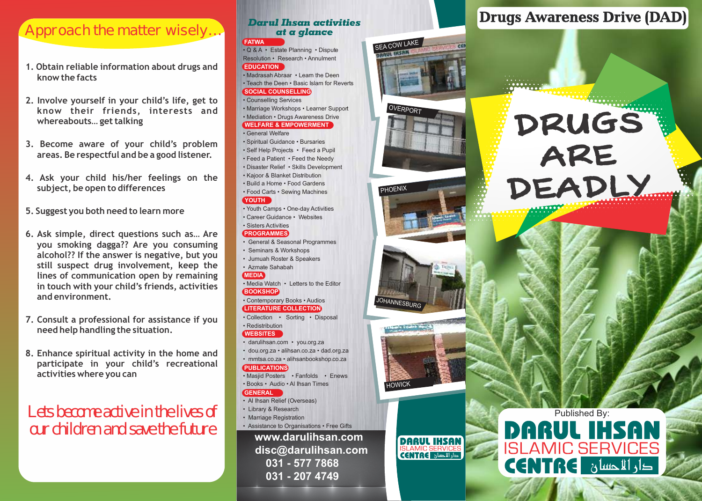# Approach the matter wisely…

- **1. Obtain reliable information about drugs and know the facts**
- **2. Involve yourself in your child's life, get to know their friends, interests and whereabouts… get talking**
- **3. Become aware of your child's problem areas. Be respectful and be a good listener.**
- **4. Ask your child his/her feelings on the subject, be open to differences**
- **5. Suggest you both need to learn more**
- **6. Ask simple, direct questions such as… Are you smoking dagga?? Are you consuming alcohol?? If the answer is negative, but you still suspect drug involvement, keep the lines of communication open by remaining in touch with your child's friends, activities and environment.**
- **7. Consult a professional for assistance if you need help handling the situation.**
- **8. Enhance spiritual activity in the home and participate in your child's recreational activities where you can**

## Lets become active in the lives of our children and save the future

### *Darul Ihsan activities at a glance*

#### **FATWA**

• Q & A • Estate Planning • Dispute Resolution • Research • Annulment **EDUCATION**

### • Madrasah Abraar • Learn the Deen • Teach the Deen • Basic Islam for Reverts **SOCIAL COUNSELLING**

• Counselling Services

• Marriage Workshops • Learner Support • Mediation • Drugs Awareness Drive **WELFARE & EMPOWERMENT**

#### • General Welfare

- Spiritual Guidance Bursaries • Self Help Projects • Feed a Pupil • Feed a Patient • Feed the Needy • Disaster Relief • Skills Development • Kajoor & Blanket Distribution • Build a Home • Food Gardens • Food Carts • Sewing Machines **YOUTH**
- Youth Camps One-day Activities • Career Guidance • Websites • Sisters Activities

#### **PROGRAMMES**

- General & Seasonal Programmes
- Seminars & Workshops
- Jumuah Roster & Speakers

#### • Azmate Sahabah **MEDIA**

• Media Watch • Letters to the Editor **BOOKSHOP**

#### • Contemporary Books • Audios **LITERATURE COLLECTION**

• Collection • Sorting • Disposal

#### • Redistribution **WEBSITES**

- darulihsan.com you.org.za • dou.org.za • alihsan.co.za • dad.org.za
- mmtsa.co.za alihsanbookshop.co.za

#### **PUBLICATIONS**

• Masjid Posters • Fanfolds • Enews • Books • Audio • Al Ihsan Times

#### **GENERAL**

- Al Ihsan Relief (Overseas)
- Library & Research
- Marriage Registration
- Assistance to Organisations Free Gifts

**www.darulihsan.com disc@darulihsan.com 031 - 577 7868 031 - 207 4749**



I